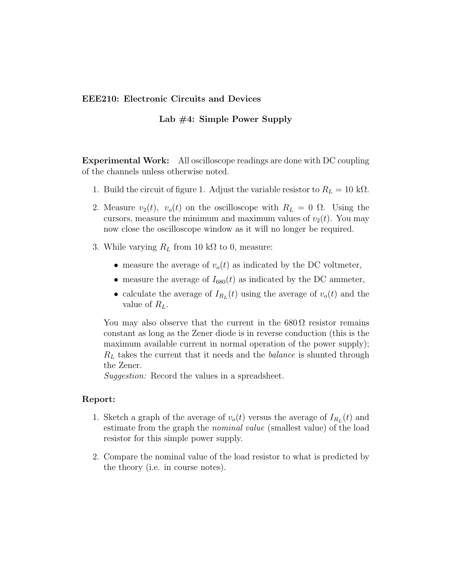## **EEE210: Electronic Circuits and Devices**

## **Lab #4: Simple Power Supply**

**Experimental Work:** All oscilloscope readings are done with DC coupling of the channels unless otherwise noted.

- 1. Build the circuit of figure 1. Adjust the variable resistor to  $R_L = 10 \text{ k}\Omega$ .
- 2. Measure  $v_2(t)$ ,  $v_0(t)$  on the oscilloscope with  $R_L = 0 \Omega$ . Using the cursors, measure the minimum and maximum values of  $v_2(t)$ . You may now close the oscilloscope window as it will no longer be required.
- 3. While varying  $R_L$  from 10 k $\Omega$  to 0, measure:
	- measure the average of  $v_o(t)$  as indicated by the DC voltmeter,
	- measure the average of  $I_{680}(t)$  as indicated by the DC ammeter,
	- calculate the average of  $I_{R_L}(t)$  using the average of  $v_o(t)$  and the value of *RL*.

You may also observe that the current in the  $680\Omega$  resistor remains constant as long as the Zener diode is in reverse conduction (this is the maximum available current in normal operation of the power supply); *R<sup>L</sup>* takes the current that it needs and the *balance* is shunted through the Zener.

*Suggestion:* Record the values in a spreadsheet.

## **Report:**

- 1. Sketch a graph of the average of  $v_o(t)$  versus the average of  $I_{R_L}(t)$  and estimate from the graph the *nominal value* (smallest value) of the load resistor for this simple power supply.
- 2. Compare the nominal value of the load resistor to what is predicted by the theory (i.e. in course notes).